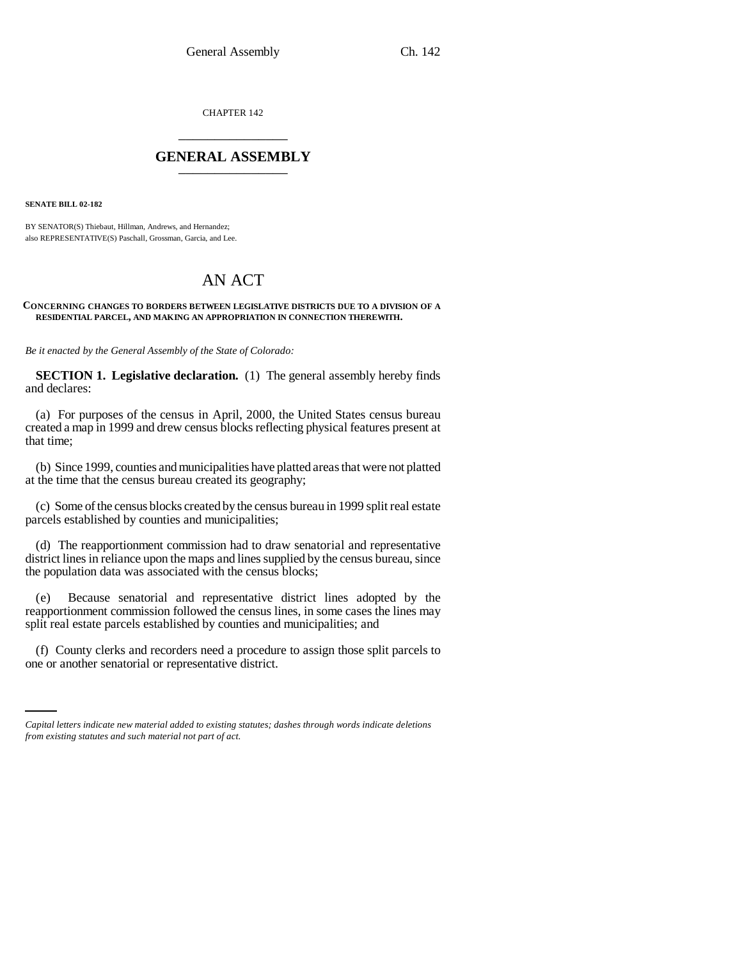CHAPTER 142 \_\_\_\_\_\_\_\_\_\_\_\_\_\_\_

## **GENERAL ASSEMBLY** \_\_\_\_\_\_\_\_\_\_\_\_\_\_\_

**SENATE BILL 02-182**

BY SENATOR(S) Thiebaut, Hillman, Andrews, and Hernandez; also REPRESENTATIVE(S) Paschall, Grossman, Garcia, and Lee.

## AN ACT

## **CONCERNING CHANGES TO BORDERS BETWEEN LEGISLATIVE DISTRICTS DUE TO A DIVISION OF A RESIDENTIAL PARCEL, AND MAKING AN APPROPRIATION IN CONNECTION THEREWITH.**

*Be it enacted by the General Assembly of the State of Colorado:*

**SECTION 1. Legislative declaration.** (1) The general assembly hereby finds and declares:

(a) For purposes of the census in April, 2000, the United States census bureau created a map in 1999 and drew census blocks reflecting physical features present at that time;

(b) Since 1999, counties and municipalities have platted areas that were not platted at the time that the census bureau created its geography;

(c) Some of the census blocks created by the census bureau in 1999 split real estate parcels established by counties and municipalities;

(d) The reapportionment commission had to draw senatorial and representative district lines in reliance upon the maps and lines supplied by the census bureau, since the population data was associated with the census blocks;

(e) Because senatorial and representative district lines adopted by the reapportionment commission followed the census lines, in some cases the lines may split real estate parcels established by counties and municipalities; and

(f) County clerks and recorders need a procedure to assign those split parcels to one or another senatorial or representative district.

*Capital letters indicate new material added to existing statutes; dashes through words indicate deletions from existing statutes and such material not part of act.*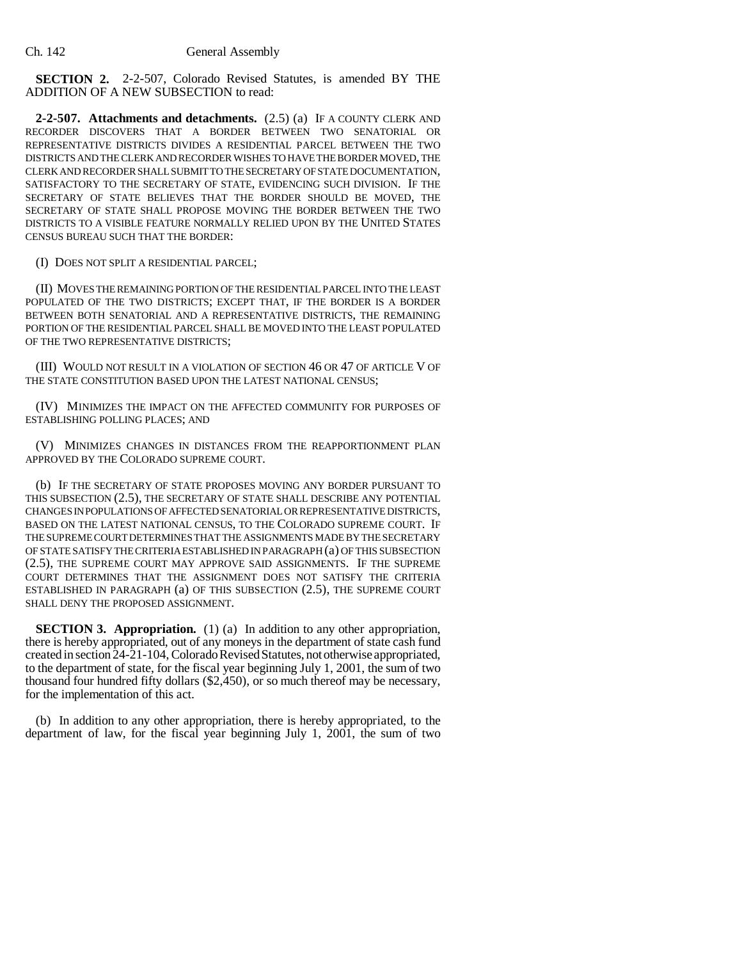**SECTION 2.** 2-2-507, Colorado Revised Statutes, is amended BY THE ADDITION OF A NEW SUBSECTION to read:

**2-2-507. Attachments and detachments.** (2.5) (a) IF A COUNTY CLERK AND RECORDER DISCOVERS THAT A BORDER BETWEEN TWO SENATORIAL OR REPRESENTATIVE DISTRICTS DIVIDES A RESIDENTIAL PARCEL BETWEEN THE TWO DISTRICTS AND THE CLERK AND RECORDER WISHES TO HAVE THE BORDER MOVED, THE CLERK AND RECORDER SHALL SUBMIT TO THE SECRETARY OF STATE DOCUMENTATION, SATISFACTORY TO THE SECRETARY OF STATE, EVIDENCING SUCH DIVISION. IF THE SECRETARY OF STATE BELIEVES THAT THE BORDER SHOULD BE MOVED, THE SECRETARY OF STATE SHALL PROPOSE MOVING THE BORDER BETWEEN THE TWO DISTRICTS TO A VISIBLE FEATURE NORMALLY RELIED UPON BY THE UNITED STATES CENSUS BUREAU SUCH THAT THE BORDER:

(I) DOES NOT SPLIT A RESIDENTIAL PARCEL;

(II) MOVES THE REMAINING PORTION OF THE RESIDENTIAL PARCEL INTO THE LEAST POPULATED OF THE TWO DISTRICTS; EXCEPT THAT, IF THE BORDER IS A BORDER BETWEEN BOTH SENATORIAL AND A REPRESENTATIVE DISTRICTS, THE REMAINING PORTION OF THE RESIDENTIAL PARCEL SHALL BE MOVED INTO THE LEAST POPULATED OF THE TWO REPRESENTATIVE DISTRICTS;

(III) WOULD NOT RESULT IN A VIOLATION OF SECTION 46 OR 47 OF ARTICLE V OF THE STATE CONSTITUTION BASED UPON THE LATEST NATIONAL CENSUS;

(IV) MINIMIZES THE IMPACT ON THE AFFECTED COMMUNITY FOR PURPOSES OF ESTABLISHING POLLING PLACES; AND

(V) MINIMIZES CHANGES IN DISTANCES FROM THE REAPPORTIONMENT PLAN APPROVED BY THE COLORADO SUPREME COURT.

(b) IF THE SECRETARY OF STATE PROPOSES MOVING ANY BORDER PURSUANT TO THIS SUBSECTION (2.5), THE SECRETARY OF STATE SHALL DESCRIBE ANY POTENTIAL CHANGES IN POPULATIONS OF AFFECTED SENATORIAL OR REPRESENTATIVE DISTRICTS, BASED ON THE LATEST NATIONAL CENSUS, TO THE COLORADO SUPREME COURT. IF THE SUPREME COURT DETERMINES THAT THE ASSIGNMENTS MADE BY THE SECRETARY OF STATE SATISFY THE CRITERIA ESTABLISHED IN PARAGRAPH (a) OF THIS SUBSECTION (2.5), THE SUPREME COURT MAY APPROVE SAID ASSIGNMENTS. IF THE SUPREME COURT DETERMINES THAT THE ASSIGNMENT DOES NOT SATISFY THE CRITERIA ESTABLISHED IN PARAGRAPH (a) OF THIS SUBSECTION (2.5), THE SUPREME COURT SHALL DENY THE PROPOSED ASSIGNMENT.

**SECTION 3. Appropriation.** (1) (a) In addition to any other appropriation, there is hereby appropriated, out of any moneys in the department of state cash fund created in section 24-21-104, Colorado Revised Statutes, not otherwise appropriated, to the department of state, for the fiscal year beginning July 1, 2001, the sum of two thousand four hundred fifty dollars (\$2,450), or so much thereof may be necessary, for the implementation of this act.

(b) In addition to any other appropriation, there is hereby appropriated, to the department of law, for the fiscal year beginning July 1, 2001, the sum of two